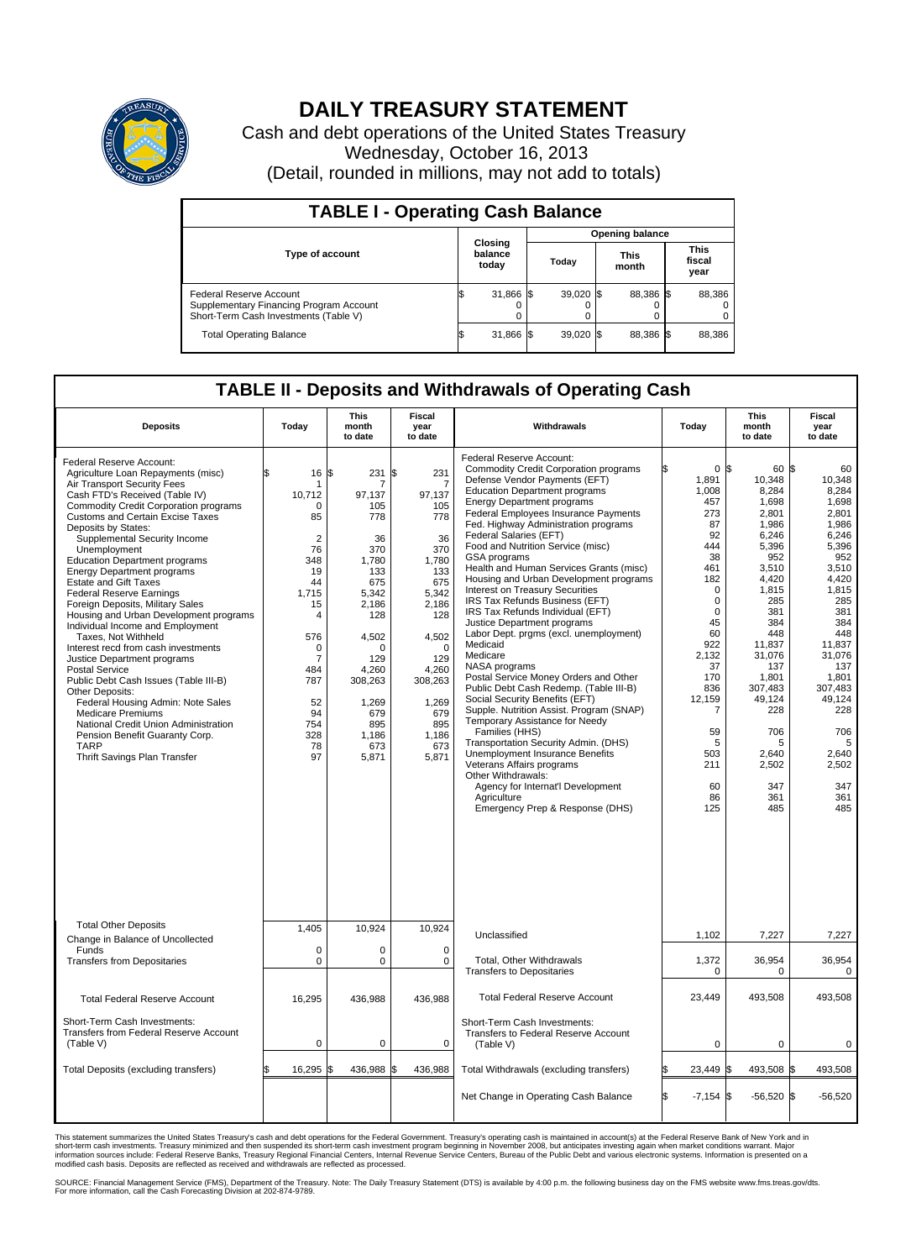

## **DAILY TREASURY STATEMENT**

Cash and debt operations of the United States Treasury Wednesday, October 16, 2013 (Detail, rounded in millions, may not add to totals)

| <b>TABLE I - Operating Cash Balance</b>                                                                            |                        |                             |  |             |  |                      |  |                               |  |
|--------------------------------------------------------------------------------------------------------------------|------------------------|-----------------------------|--|-------------|--|----------------------|--|-------------------------------|--|
|                                                                                                                    | <b>Opening balance</b> |                             |  |             |  |                      |  |                               |  |
| <b>Type of account</b>                                                                                             |                        | Closing<br>balance<br>today |  | Today       |  | <b>This</b><br>month |  | <b>This</b><br>fiscal<br>year |  |
| <b>Federal Reserve Account</b><br>Supplementary Financing Program Account<br>Short-Term Cash Investments (Table V) |                        | 31,866 \$                   |  | $39,020$ \$ |  | 88,386 \$            |  | 88,386                        |  |
| <b>Total Operating Balance</b>                                                                                     |                        | 31,866 \$                   |  | $39,020$ \$ |  | 88.386 \$            |  | 88,386                        |  |

## **TABLE II - Deposits and Withdrawals of Operating Cash**

| <b>Deposits</b>                                                                                                                                                                                                                                                                                                                                                                                                                                                                                                                                                                                                                                                                                                                                                                                                                                                                                                                   | Today                                                                                                                                                                                 | This<br>month<br>to date                                                                                                                                                                            | Fiscal<br>year<br>to date                                                                                                                                                                            | Withdrawals                                                                                                                                                                                                                                                                                                                                                                                                                                                                                                                                                                                                                                                                                                                                                                                                                                                                                                                                                                                                                                                                                                     | Today                                                                                                                                                                                                                                      | This<br>month<br>to date                                                                                                                                                                                                                               | Fiscal<br>year<br>to date                                                                                                                                                                                                                           |
|-----------------------------------------------------------------------------------------------------------------------------------------------------------------------------------------------------------------------------------------------------------------------------------------------------------------------------------------------------------------------------------------------------------------------------------------------------------------------------------------------------------------------------------------------------------------------------------------------------------------------------------------------------------------------------------------------------------------------------------------------------------------------------------------------------------------------------------------------------------------------------------------------------------------------------------|---------------------------------------------------------------------------------------------------------------------------------------------------------------------------------------|-----------------------------------------------------------------------------------------------------------------------------------------------------------------------------------------------------|------------------------------------------------------------------------------------------------------------------------------------------------------------------------------------------------------|-----------------------------------------------------------------------------------------------------------------------------------------------------------------------------------------------------------------------------------------------------------------------------------------------------------------------------------------------------------------------------------------------------------------------------------------------------------------------------------------------------------------------------------------------------------------------------------------------------------------------------------------------------------------------------------------------------------------------------------------------------------------------------------------------------------------------------------------------------------------------------------------------------------------------------------------------------------------------------------------------------------------------------------------------------------------------------------------------------------------|--------------------------------------------------------------------------------------------------------------------------------------------------------------------------------------------------------------------------------------------|--------------------------------------------------------------------------------------------------------------------------------------------------------------------------------------------------------------------------------------------------------|-----------------------------------------------------------------------------------------------------------------------------------------------------------------------------------------------------------------------------------------------------|
| Federal Reserve Account:<br>Agriculture Loan Repayments (misc)<br>Air Transport Security Fees<br>Cash FTD's Received (Table IV)<br>Commodity Credit Corporation programs<br><b>Customs and Certain Excise Taxes</b><br>Deposits by States:<br>Supplemental Security Income<br>Unemployment<br><b>Education Department programs</b><br><b>Energy Department programs</b><br><b>Estate and Gift Taxes</b><br><b>Federal Reserve Earnings</b><br>Foreign Deposits, Military Sales<br>Housing and Urban Development programs<br>Individual Income and Employment<br>Taxes, Not Withheld<br>Interest recd from cash investments<br>Justice Department programs<br><b>Postal Service</b><br>Public Debt Cash Issues (Table III-B)<br>Other Deposits:<br>Federal Housing Admin: Note Sales<br>Medicare Premiums<br>National Credit Union Administration<br>Pension Benefit Guaranty Corp.<br><b>TARP</b><br>Thrift Savings Plan Transfer | \$<br>16<br>10,712<br>$\Omega$<br>85<br>$\overline{2}$<br>76<br>348<br>19<br>44<br>1.715<br>15<br>4<br>576<br>0<br>$\overline{7}$<br>484<br>787<br>52<br>94<br>754<br>328<br>78<br>97 | S.<br>231<br>7<br>97,137<br>105<br>778<br>36<br>370<br>1,780<br>133<br>675<br>5,342<br>2,186<br>128<br>4,502<br>$\Omega$<br>129<br>4.260<br>308,263<br>1,269<br>679<br>895<br>1,186<br>673<br>5,871 | l\$<br>231<br>7<br>97,137<br>105<br>778<br>36<br>370<br>1,780<br>133<br>675<br>5,342<br>2,186<br>128<br>4,502<br>$\Omega$<br>129<br>4,260<br>308,263<br>1,269<br>679<br>895<br>1,186<br>673<br>5,871 | Federal Reserve Account:<br><b>Commodity Credit Corporation programs</b><br>Defense Vendor Payments (EFT)<br><b>Education Department programs</b><br><b>Energy Department programs</b><br>Federal Employees Insurance Payments<br>Fed. Highway Administration programs<br>Federal Salaries (EFT)<br>Food and Nutrition Service (misc)<br>GSA programs<br>Health and Human Services Grants (misc)<br>Housing and Urban Development programs<br>Interest on Treasury Securities<br>IRS Tax Refunds Business (EFT)<br>IRS Tax Refunds Individual (EFT)<br>Justice Department programs<br>Labor Dept. prgms (excl. unemployment)<br>Medicaid<br>Medicare<br>NASA programs<br>Postal Service Money Orders and Other<br>Public Debt Cash Redemp. (Table III-B)<br>Social Security Benefits (EFT)<br>Supple. Nutrition Assist. Program (SNAP)<br>Temporary Assistance for Needy<br>Families (HHS)<br>Transportation Security Admin. (DHS)<br>Unemployment Insurance Benefits<br>Veterans Affairs programs<br>Other Withdrawals:<br>Agency for Internat'l Development<br>Agriculture<br>Emergency Prep & Response (DHS) | 0 <sup>5</sup><br>1,891<br>1,008<br>457<br>273<br>87<br>92<br>444<br>38<br>461<br>182<br>$\mathbf 0$<br>$\mathbf 0$<br>$\Omega$<br>45<br>60<br>922<br>2,132<br>37<br>170<br>836<br>12,159<br>7<br>59<br>5<br>503<br>211<br>60<br>86<br>125 | 60 \$<br>10,348<br>8,284<br>1,698<br>2.801<br>1,986<br>6,246<br>5,396<br>952<br>3,510<br>4,420<br>1,815<br>285<br>381<br>384<br>448<br>11.837<br>31,076<br>137<br>1,801<br>307,483<br>49,124<br>228<br>706<br>5<br>2.640<br>2,502<br>347<br>361<br>485 | 60<br>10.348<br>8,284<br>1,698<br>2.801<br>1,986<br>6,246<br>5,396<br>952<br>3,510<br>4,420<br>1,815<br>285<br>381<br>384<br>448<br>11.837<br>31,076<br>137<br>1,801<br>307,483<br>49,124<br>228<br>706<br>5<br>2.640<br>2,502<br>347<br>361<br>485 |
| <b>Total Other Deposits</b><br>Change in Balance of Uncollected                                                                                                                                                                                                                                                                                                                                                                                                                                                                                                                                                                                                                                                                                                                                                                                                                                                                   | 1,405                                                                                                                                                                                 | 10,924                                                                                                                                                                                              | 10,924                                                                                                                                                                                               | Unclassified                                                                                                                                                                                                                                                                                                                                                                                                                                                                                                                                                                                                                                                                                                                                                                                                                                                                                                                                                                                                                                                                                                    | 1,102                                                                                                                                                                                                                                      | 7,227                                                                                                                                                                                                                                                  | 7,227                                                                                                                                                                                                                                               |
| Funds<br><b>Transfers from Depositaries</b>                                                                                                                                                                                                                                                                                                                                                                                                                                                                                                                                                                                                                                                                                                                                                                                                                                                                                       | $\mathbf 0$<br>$\mathbf 0$                                                                                                                                                            | 0<br>$\mathbf 0$                                                                                                                                                                                    | $\mathbf 0$<br>$\mathbf 0$                                                                                                                                                                           | Total, Other Withdrawals<br><b>Transfers to Depositaries</b>                                                                                                                                                                                                                                                                                                                                                                                                                                                                                                                                                                                                                                                                                                                                                                                                                                                                                                                                                                                                                                                    | 1,372<br>0                                                                                                                                                                                                                                 | 36,954<br>0                                                                                                                                                                                                                                            | 36,954<br>0                                                                                                                                                                                                                                         |
| <b>Total Federal Reserve Account</b>                                                                                                                                                                                                                                                                                                                                                                                                                                                                                                                                                                                                                                                                                                                                                                                                                                                                                              | 16,295                                                                                                                                                                                | 436,988                                                                                                                                                                                             | 436,988                                                                                                                                                                                              | <b>Total Federal Reserve Account</b>                                                                                                                                                                                                                                                                                                                                                                                                                                                                                                                                                                                                                                                                                                                                                                                                                                                                                                                                                                                                                                                                            | 23,449                                                                                                                                                                                                                                     | 493,508                                                                                                                                                                                                                                                | 493,508                                                                                                                                                                                                                                             |
| Short-Term Cash Investments:<br>Transfers from Federal Reserve Account<br>(Table V)                                                                                                                                                                                                                                                                                                                                                                                                                                                                                                                                                                                                                                                                                                                                                                                                                                               | $\mathbf 0$                                                                                                                                                                           | $\mathbf 0$                                                                                                                                                                                         | 0                                                                                                                                                                                                    | Short-Term Cash Investments:<br>Transfers to Federal Reserve Account<br>(Table V)                                                                                                                                                                                                                                                                                                                                                                                                                                                                                                                                                                                                                                                                                                                                                                                                                                                                                                                                                                                                                               | $\mathbf 0$                                                                                                                                                                                                                                | 0                                                                                                                                                                                                                                                      | 0                                                                                                                                                                                                                                                   |
| Total Deposits (excluding transfers)                                                                                                                                                                                                                                                                                                                                                                                                                                                                                                                                                                                                                                                                                                                                                                                                                                                                                              | 16,295<br>\$                                                                                                                                                                          | 436,988 \$<br>\$                                                                                                                                                                                    | 436,988                                                                                                                                                                                              | Total Withdrawals (excluding transfers)                                                                                                                                                                                                                                                                                                                                                                                                                                                                                                                                                                                                                                                                                                                                                                                                                                                                                                                                                                                                                                                                         | 23,449                                                                                                                                                                                                                                     | S.<br>493,508 \$                                                                                                                                                                                                                                       | 493,508                                                                                                                                                                                                                                             |
|                                                                                                                                                                                                                                                                                                                                                                                                                                                                                                                                                                                                                                                                                                                                                                                                                                                                                                                                   |                                                                                                                                                                                       |                                                                                                                                                                                                     |                                                                                                                                                                                                      | Net Change in Operating Cash Balance                                                                                                                                                                                                                                                                                                                                                                                                                                                                                                                                                                                                                                                                                                                                                                                                                                                                                                                                                                                                                                                                            | l\$<br>$-7,154$                                                                                                                                                                                                                            | l\$<br>$-56,520$ \$                                                                                                                                                                                                                                    | $-56,520$                                                                                                                                                                                                                                           |

This statement summarizes the United States Treasury's cash and debt operations for the Federal Government. Treasury's operating cash is maintained in account(s) at the Federal Reserve Bank of New York and in<br>short-term ca

SOURCE: Financial Management Service (FMS), Department of the Treasury. Note: The Daily Treasury Statement (DTS) is available by 4:00 p.m. the following business day on the FMS website www.fms.treas.gov/dts.<br>For more infor